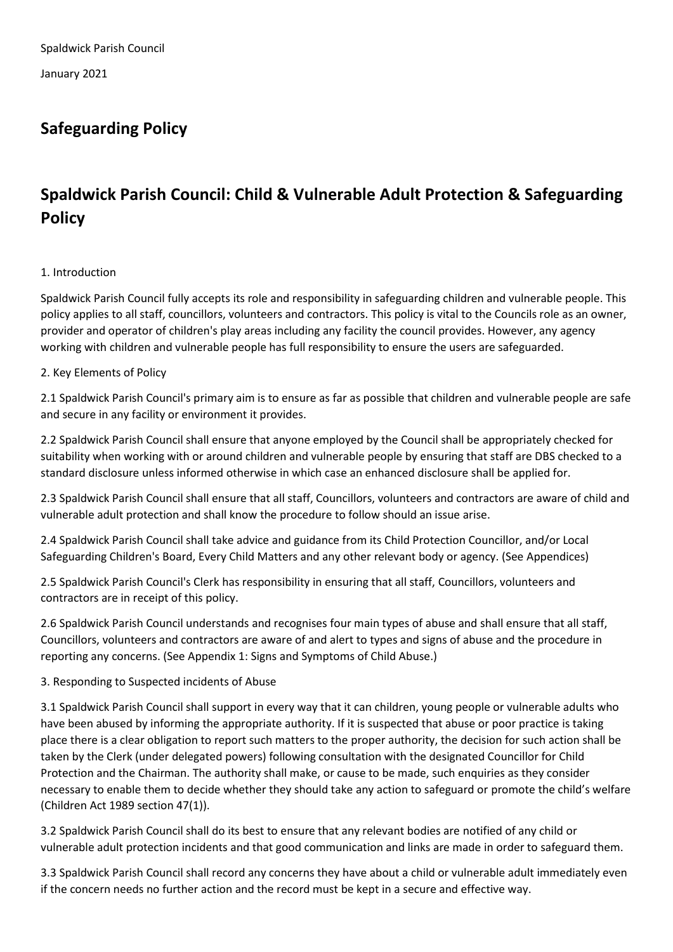# **Safeguarding Policy**

# **Spaldwick Parish Council: Child & Vulnerable Adult Protection & Safeguarding Policy**

# 1. Introduction

Spaldwick Parish Council fully accepts its role and responsibility in safeguarding children and vulnerable people. This policy applies to all staff, councillors, volunteers and contractors. This policy is vital to the Councils role as an owner, provider and operator of children's play areas including any facility the council provides. However, any agency working with children and vulnerable people has full responsibility to ensure the users are safeguarded.

# 2. Key Elements of Policy

2.1 Spaldwick Parish Council's primary aim is to ensure as far as possible that children and vulnerable people are safe and secure in any facility or environment it provides.

2.2 Spaldwick Parish Council shall ensure that anyone employed by the Council shall be appropriately checked for suitability when working with or around children and vulnerable people by ensuring that staff are DBS checked to a standard disclosure unless informed otherwise in which case an enhanced disclosure shall be applied for.

2.3 Spaldwick Parish Council shall ensure that all staff, Councillors, volunteers and contractors are aware of child and vulnerable adult protection and shall know the procedure to follow should an issue arise.

2.4 Spaldwick Parish Council shall take advice and guidance from its Child Protection Councillor, and/or Local Safeguarding Children's Board, Every Child Matters and any other relevant body or agency. (See Appendices)

2.5 Spaldwick Parish Council's Clerk has responsibility in ensuring that all staff, Councillors, volunteers and contractors are in receipt of this policy.

2.6 Spaldwick Parish Council understands and recognises four main types of abuse and shall ensure that all staff, Councillors, volunteers and contractors are aware of and alert to types and signs of abuse and the procedure in reporting any concerns. (See Appendix 1: Signs and Symptoms of Child Abuse.)

## 3. Responding to Suspected incidents of Abuse

3.1 Spaldwick Parish Council shall support in every way that it can children, young people or vulnerable adults who have been abused by informing the appropriate authority. If it is suspected that abuse or poor practice is taking place there is a clear obligation to report such matters to the proper authority, the decision for such action shall be taken by the Clerk (under delegated powers) following consultation with the designated Councillor for Child Protection and the Chairman. The authority shall make, or cause to be made, such enquiries as they consider necessary to enable them to decide whether they should take any action to safeguard or promote the child's welfare (Children Act 1989 section 47(1)).

3.2 Spaldwick Parish Council shall do its best to ensure that any relevant bodies are notified of any child or vulnerable adult protection incidents and that good communication and links are made in order to safeguard them.

3.3 Spaldwick Parish Council shall record any concerns they have about a child or vulnerable adult immediately even if the concern needs no further action and the record must be kept in a secure and effective way.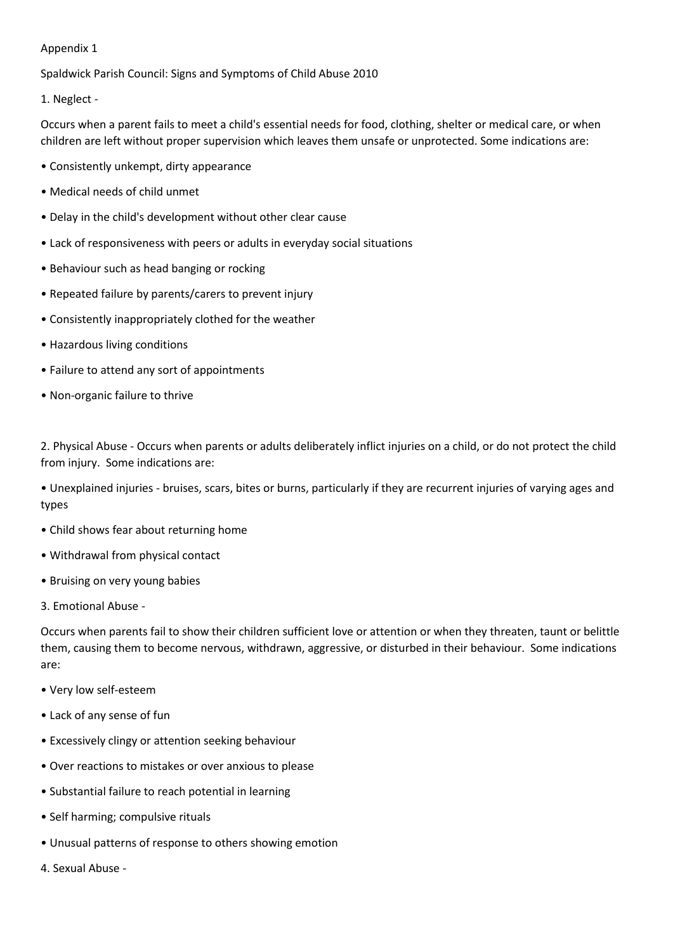#### Appendix 1

Spaldwick Parish Council: Signs and Symptoms of Child Abuse 2010

1. Neglect -

Occurs when a parent fails to meet a child's essential needs for food, clothing, shelter or medical care, or when children are left without proper supervision which leaves them unsafe or unprotected. Some indications are:

- Consistently unkempt, dirty appearance
- Medical needs of child unmet
- Delay in the child's development without other clear cause
- Lack of responsiveness with peers or adults in everyday social situations
- Behaviour such as head banging or rocking
- Repeated failure by parents/carers to prevent injury
- Consistently inappropriately clothed for the weather
- Hazardous living conditions
- Failure to attend any sort of appointments
- Non-organic failure to thrive

2. Physical Abuse - Occurs when parents or adults deliberately inflict injuries on a child, or do not protect the child from injury. Some indications are:

- Unexplained injuries bruises, scars, bites or burns, particularly if they are recurrent injuries of varying ages and types
- Child shows fear about returning home
- Withdrawal from physical contact
- Bruising on very young babies
- 3. Emotional Abuse -

Occurs when parents fail to show their children sufficient love or attention or when they threaten, taunt or belittle them, causing them to become nervous, withdrawn, aggressive, or disturbed in their behaviour. Some indications are:

- Very low self-esteem
- Lack of any sense of fun
- Excessively clingy or attention seeking behaviour
- Over reactions to mistakes or over anxious to please
- Substantial failure to reach potential in learning
- Self harming; compulsive rituals
- Unusual patterns of response to others showing emotion
- 4. Sexual Abuse -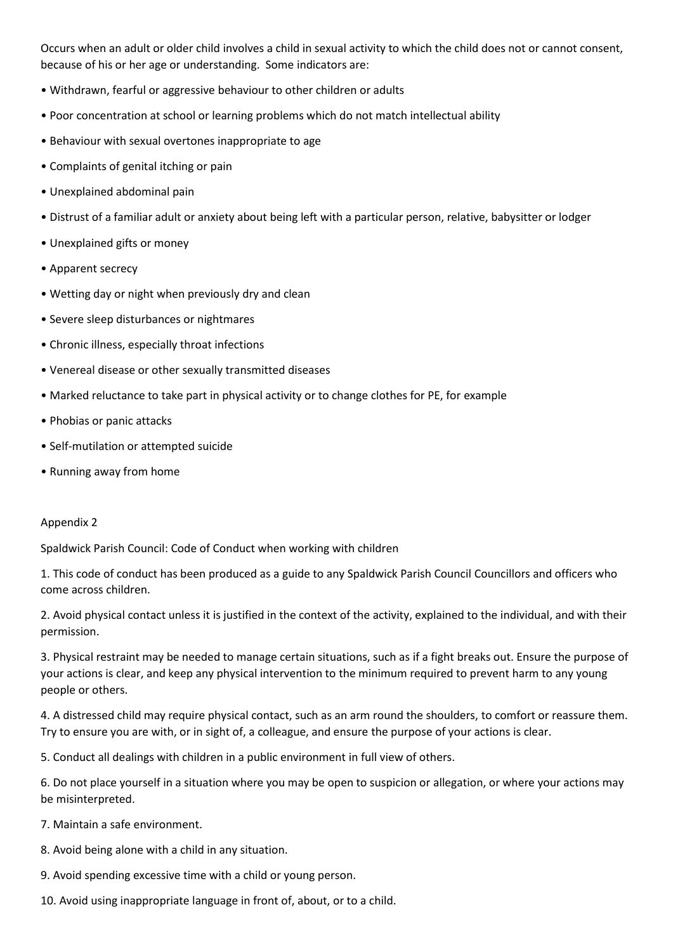Occurs when an adult or older child involves a child in sexual activity to which the child does not or cannot consent, because of his or her age or understanding. Some indicators are:

- Withdrawn, fearful or aggressive behaviour to other children or adults
- Poor concentration at school or learning problems which do not match intellectual ability
- Behaviour with sexual overtones inappropriate to age
- Complaints of genital itching or pain
- Unexplained abdominal pain
- Distrust of a familiar adult or anxiety about being left with a particular person, relative, babysitter or lodger
- Unexplained gifts or money
- Apparent secrecy
- Wetting day or night when previously dry and clean
- Severe sleep disturbances or nightmares
- Chronic illness, especially throat infections
- Venereal disease or other sexually transmitted diseases
- Marked reluctance to take part in physical activity or to change clothes for PE, for example
- Phobias or panic attacks
- Self-mutilation or attempted suicide
- Running away from home

#### Appendix 2

Spaldwick Parish Council: Code of Conduct when working with children

1. This code of conduct has been produced as a guide to any Spaldwick Parish Council Councillors and officers who come across children.

2. Avoid physical contact unless it is justified in the context of the activity, explained to the individual, and with their permission.

3. Physical restraint may be needed to manage certain situations, such as if a fight breaks out. Ensure the purpose of your actions is clear, and keep any physical intervention to the minimum required to prevent harm to any young people or others.

4. A distressed child may require physical contact, such as an arm round the shoulders, to comfort or reassure them. Try to ensure you are with, or in sight of, a colleague, and ensure the purpose of your actions is clear.

5. Conduct all dealings with children in a public environment in full view of others.

6. Do not place yourself in a situation where you may be open to suspicion or allegation, or where your actions may be misinterpreted.

7. Maintain a safe environment.

- 8. Avoid being alone with a child in any situation.
- 9. Avoid spending excessive time with a child or young person.
- 10. Avoid using inappropriate language in front of, about, or to a child.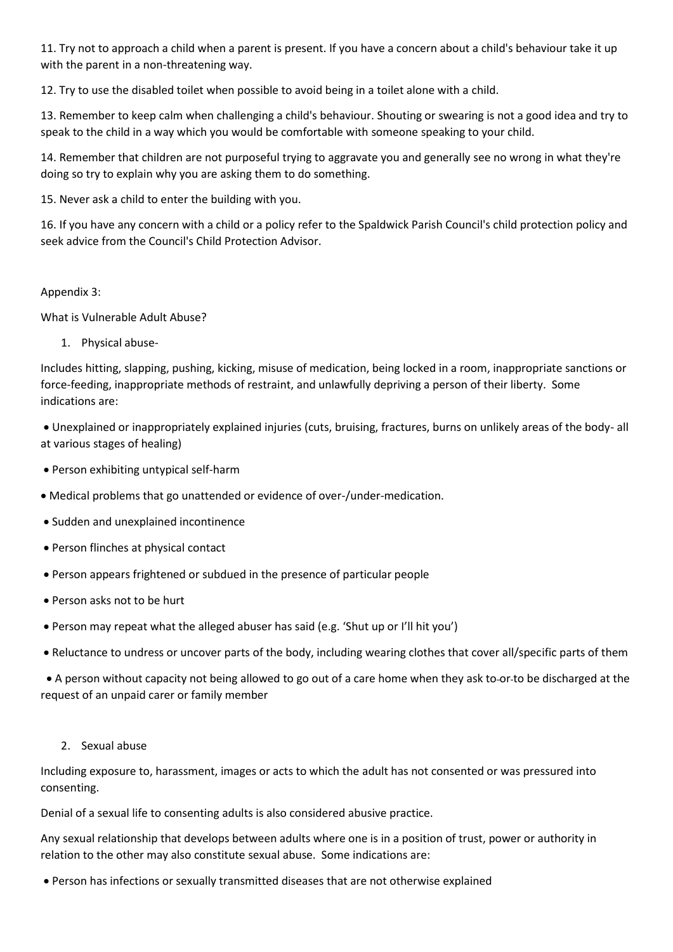11. Try not to approach a child when a parent is present. If you have a concern about a child's behaviour take it up with the parent in a non-threatening way.

12. Try to use the disabled toilet when possible to avoid being in a toilet alone with a child.

13. Remember to keep calm when challenging a child's behaviour. Shouting or swearing is not a good idea and try to speak to the child in a way which you would be comfortable with someone speaking to your child.

14. Remember that children are not purposeful trying to aggravate you and generally see no wrong in what they're doing so try to explain why you are asking them to do something.

15. Never ask a child to enter the building with you.

16. If you have any concern with a child or a policy refer to the Spaldwick Parish Council's child protection policy and seek advice from the Council's Child Protection Advisor.

## Appendix 3:

What is Vulnerable Adult Abuse?

1. Physical abuse-

Includes hitting, slapping, pushing, kicking, misuse of medication, being locked in a room, inappropriate sanctions or force-feeding, inappropriate methods of restraint, and unlawfully depriving a person of their liberty. Some indications are:

• Unexplained or inappropriately explained injuries (cuts, bruising, fractures, burns on unlikely areas of the body- all at various stages of healing)

- Person exhibiting untypical self-harm
- Medical problems that go unattended or evidence of over-/under-medication.
- Sudden and unexplained incontinence
- Person flinches at physical contact
- Person appears frightened or subdued in the presence of particular people
- Person asks not to be hurt
- Person may repeat what the alleged abuser has said (e.g. 'Shut up or I'll hit you')
- Reluctance to undress or uncover parts of the body, including wearing clothes that cover all/specific parts of them

 • A person without capacity not being allowed to go out of a care home when they ask to or to be discharged at the request of an unpaid carer or family member

2. Sexual abuse

Including exposure to, harassment, images or acts to which the adult has not consented or was pressured into consenting.

Denial of a sexual life to consenting adults is also considered abusive practice.

Any sexual relationship that develops between adults where one is in a position of trust, power or authority in relation to the other may also constitute sexual abuse. Some indications are:

• Person has infections or sexually transmitted diseases that are not otherwise explained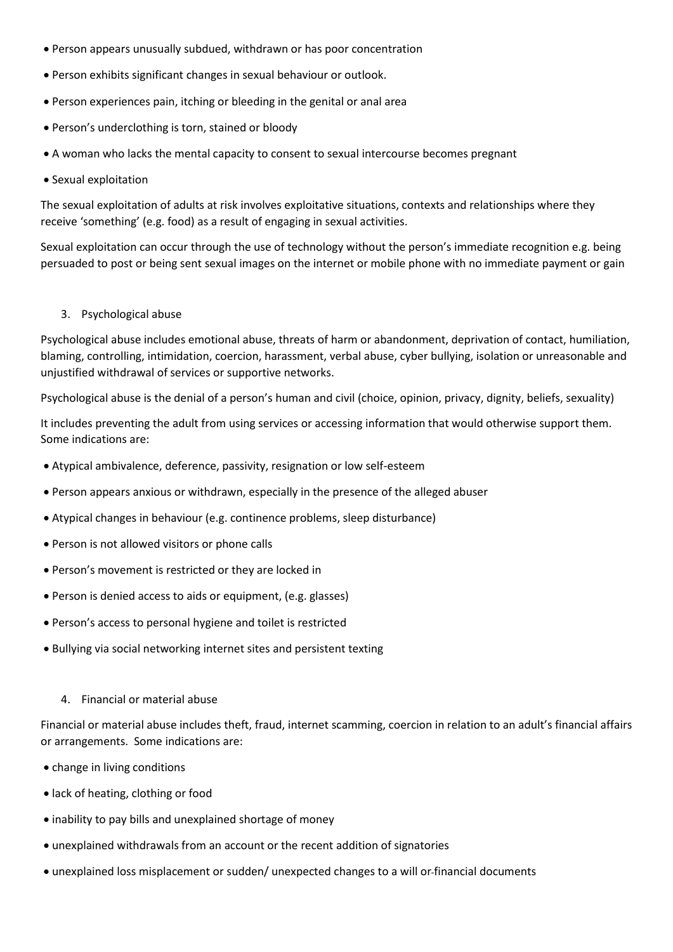- Person appears unusually subdued, withdrawn or has poor concentration
- Person exhibits significant changes in sexual behaviour or outlook.
- Person experiences pain, itching or bleeding in the genital or anal area
- Person's underclothing is torn, stained or bloody
- A woman who lacks the mental capacity to consent to sexual intercourse becomes pregnant
- Sexual exploitation

The sexual exploitation of adults at risk involves exploitative situations, contexts and relationships where they receive 'something' (e.g. food) as a result of engaging in sexual activities.

Sexual exploitation can occur through the use of technology without the person's immediate recognition e.g. being persuaded to post or being sent sexual images on the internet or mobile phone with no immediate payment or gain

3. Psychological abuse

Psychological abuse includes emotional abuse, threats of harm or abandonment, deprivation of contact, humiliation, blaming, controlling, intimidation, coercion, harassment, verbal abuse, cyber bullying, isolation or unreasonable and unjustified withdrawal of services or supportive networks.

Psychological abuse is the denial of a person's human and civil (choice, opinion, privacy, dignity, beliefs, sexuality)

It includes preventing the adult from using services or accessing information that would otherwise support them. Some indications are:

- Atypical ambivalence, deference, passivity, resignation or low self-esteem
- Person appears anxious or withdrawn, especially in the presence of the alleged abuser
- Atypical changes in behaviour (e.g. continence problems, sleep disturbance)
- Person is not allowed visitors or phone calls
- Person's movement is restricted or they are locked in
- Person is denied access to aids or equipment, (e.g. glasses)
- Person's access to personal hygiene and toilet is restricted
- Bullying via social networking internet sites and persistent texting
	- 4. Financial or material abuse

Financial or material abuse includes theft, fraud, internet scamming, coercion in relation to an adult's financial affairs or arrangements. Some indications are:

- change in living conditions
- lack of heating, clothing or food
- inability to pay bills and unexplained shortage of money
- unexplained withdrawals from an account or the recent addition of signatories
- unexplained loss misplacement or sudden/ unexpected changes to a will or financial documents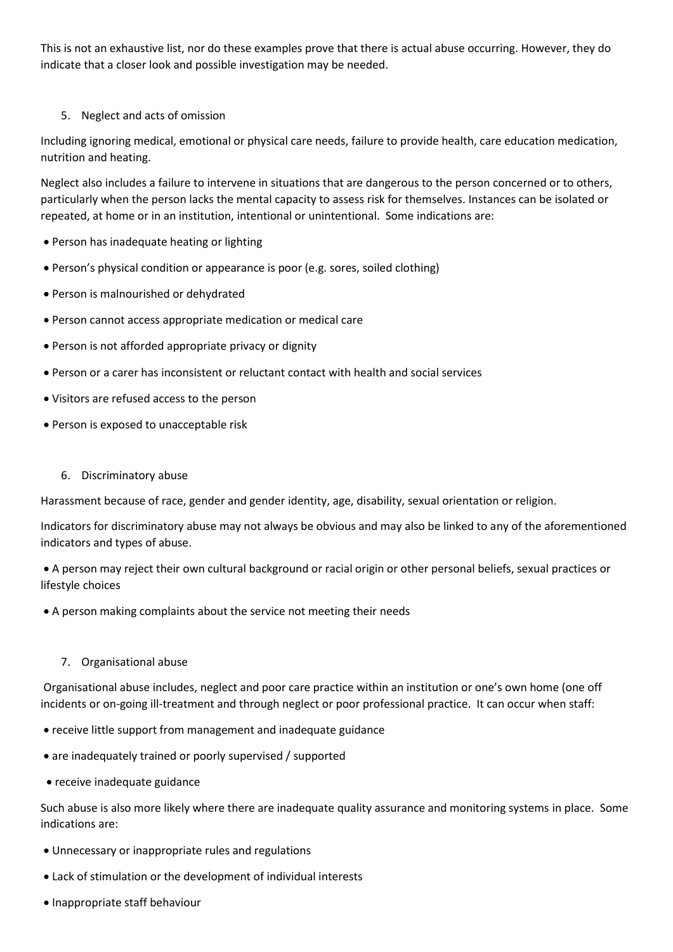This is not an exhaustive list, nor do these examples prove that there is actual abuse occurring. However, they do indicate that a closer look and possible investigation may be needed.

## 5. Neglect and acts of omission

Including ignoring medical, emotional or physical care needs, failure to provide health, care education medication, nutrition and heating.

Neglect also includes a failure to intervene in situations that are dangerous to the person concerned or to others, particularly when the person lacks the mental capacity to assess risk for themselves. Instances can be isolated or repeated, at home or in an institution, intentional or unintentional. Some indications are:

- Person has inadequate heating or lighting
- Person's physical condition or appearance is poor (e.g. sores, soiled clothing)
- Person is malnourished or dehydrated
- Person cannot access appropriate medication or medical care
- Person is not afforded appropriate privacy or dignity
- Person or a carer has inconsistent or reluctant contact with health and social services
- Visitors are refused access to the person
- Person is exposed to unacceptable risk
	- 6. Discriminatory abuse

Harassment because of race, gender and gender identity, age, disability, sexual orientation or religion.

Indicators for discriminatory abuse may not always be obvious and may also be linked to any of the aforementioned indicators and types of abuse.

• A person may reject their own cultural background or racial origin or other personal beliefs, sexual practices or lifestyle choices

- A person making complaints about the service not meeting their needs
	- 7. Organisational abuse

Organisational abuse includes, neglect and poor care practice within an institution or one's own home (one off incidents or on-going ill-treatment and through neglect or poor professional practice. It can occur when staff:

- receive little support from management and inadequate guidance
- are inadequately trained or poorly supervised / supported
- receive inadequate guidance

Such abuse is also more likely where there are inadequate quality assurance and monitoring systems in place. Some indications are:

- Unnecessary or inappropriate rules and regulations
- Lack of stimulation or the development of individual interests
- Inappropriate staff behaviour